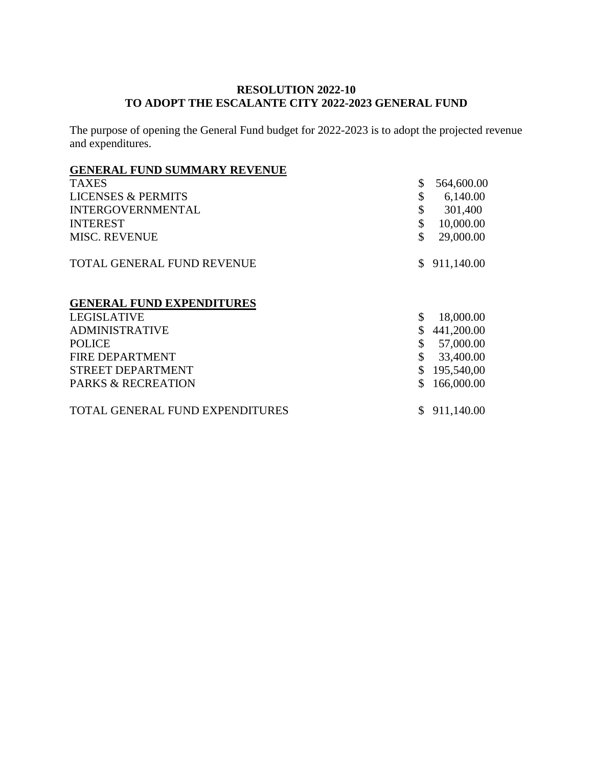## **RESOLUTION 2022-10 TO ADOPT THE ESCALANTE CITY 2022-2023 GENERAL FUND**

The purpose of opening the General Fund budget for 2022-2023 is to adopt the projected revenue and expenditures.

# **GENERAL FUND SUMMARY REVENUE**

| <b>TAXES</b>                     | \$ | 564,600.00 |
|----------------------------------|----|------------|
| <b>LICENSES &amp; PERMITS</b>    | \$ | 6,140.00   |
| <b>INTERGOVERNMENTAL</b>         | \$ | 301,400    |
| <b>INTEREST</b>                  | \$ | 10,000.00  |
| <b>MISC. REVENUE</b>             | \$ | 29,000.00  |
| TOTAL GENERAL FUND REVENUE       | S. | 911,140.00 |
| <b>GENERAL FUND EXPENDITURES</b> |    |            |
| <b>LEGISLATIVE</b>               | \$ | 18,000.00  |
| <b>ADMINISTRATIVE</b>            |    | 441,200.00 |
| <b>POLICE</b>                    | \$ | 57,000.00  |
| FIRE DEPARTMENT                  | \$ | 33,400.00  |
| <b>STREET DEPARTMENT</b>         |    | 195,540,00 |
| <b>PARKS &amp; RECREATION</b>    |    | 166,000.00 |
| TOTAL GENERAL FUND EXPENDITURES  |    | 911,140.00 |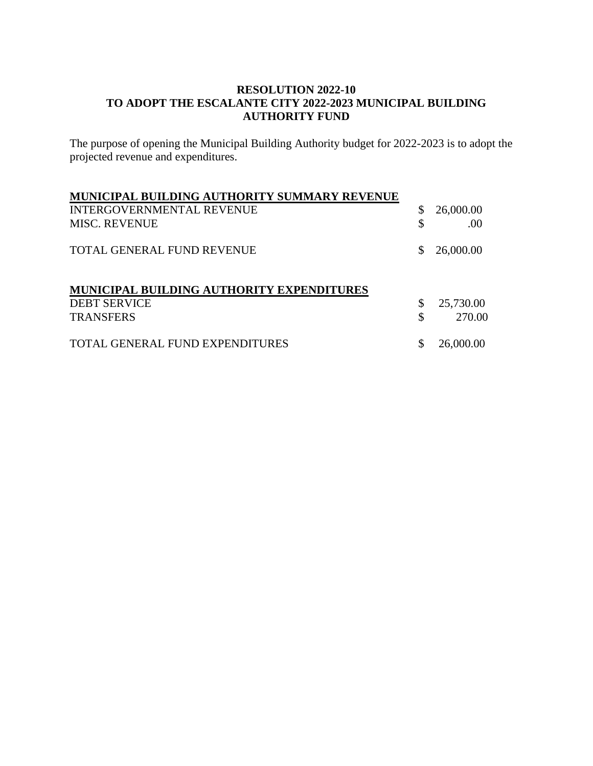## **RESOLUTION 2022-10 TO ADOPT THE ESCALANTE CITY 2022-2023 MUNICIPAL BUILDING AUTHORITY FUND**

The purpose of opening the Municipal Building Authority budget for 2022-2023 is to adopt the projected revenue and expenditures.

| MUNICIPAL BUILDING AUTHORITY SUMMARY REVENUE |    |           |
|----------------------------------------------|----|-----------|
| INTERGOVERNMENTAL REVENUE                    |    | 26,000.00 |
| <b>MISC. REVENUE</b>                         | \$ | .00       |
| <b>TOTAL GENERAL FUND REVENUE</b>            | S. | 26,000.00 |
| MUNICIPAL BUILDING AUTHORITY EXPENDITURES    |    |           |
| <b>DEBT SERVICE</b>                          |    | 25,730.00 |
| <b>TRANSFERS</b>                             | \$ | 270.00    |
| TOTAL GENERAL FUND EXPENDITURES              |    | 26,000.00 |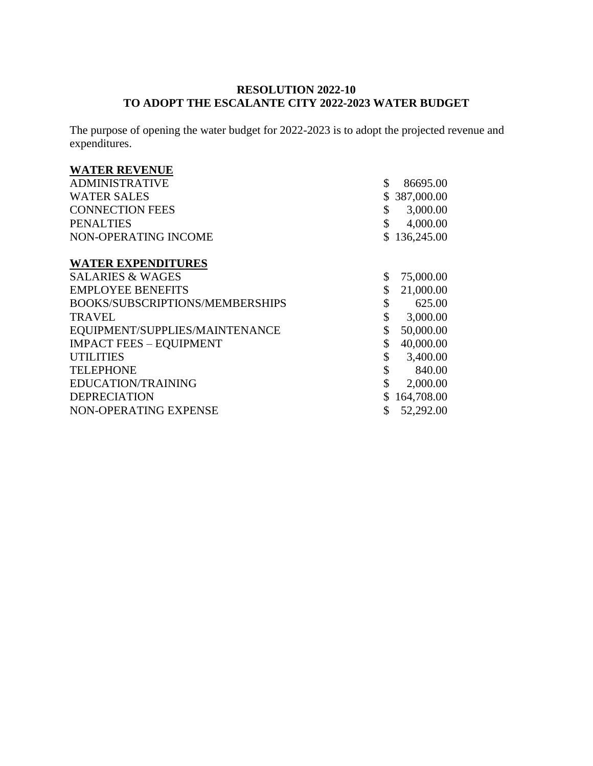## **RESOLUTION 2022-10 TO ADOPT THE ESCALANTE CITY 2022-2023 WATER BUDGET**

The purpose of opening the water budget for 2022-2023 is to adopt the projected revenue and expenditures.

#### **WATER REVENUE**

| <b>ADMINISTRATIVE</b>           | \$<br>86695.00  |
|---------------------------------|-----------------|
| <b>WATER SALES</b>              | 387,000.00      |
| <b>CONNECTION FEES</b>          | \$<br>3,000.00  |
| <b>PENALTIES</b>                | 4,000.00        |
| NON-OPERATING INCOME            | \$136,245.00    |
|                                 |                 |
| <b>WATER EXPENDITURES</b>       |                 |
| <b>SALARIES &amp; WAGES</b>     | \$<br>75,000.00 |
| <b>EMPLOYEE BENEFITS</b>        | \$<br>21,000.00 |
| BOOKS/SUBSCRIPTIONS/MEMBERSHIPS | \$<br>625.00    |
| <b>TRAVEL</b>                   | \$<br>3,000.00  |
| EQUIPMENT/SUPPLIES/MAINTENANCE  | \$<br>50,000.00 |
| <b>IMPACT FEES - EQUIPMENT</b>  | \$<br>40,000.00 |
| <b>UTILITIES</b>                | \$<br>3,400.00  |
| <b>TELEPHONE</b>                | \$<br>840.00    |
| EDUCATION/TRAINING              | \$<br>2,000.00  |
| <b>DEPRECIATION</b>             | 164,708.00      |

NON-OPERATING EXPENSE \$52,292.00